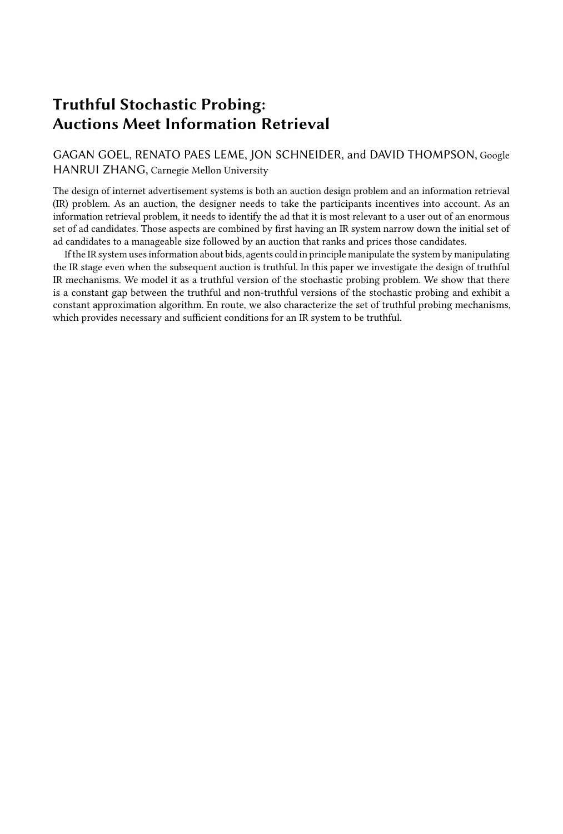# Truthful Stochastic Probing: Auctions Meet Information Retrieval

GAGAN GOEL, RENATO PAES LEME, JON SCHNEIDER, and DAVID THOMPSON, Google HANRUI ZHANG, Carnegie Mellon University

The design of internet advertisement systems is both an auction design problem and an information retrieval (IR) problem. As an auction, the designer needs to take the participants incentives into account. As an information retrieval problem, it needs to identify the ad that it is most relevant to a user out of an enormous set of ad candidates. Those aspects are combined by first having an IR system narrow down the initial set of ad candidates to a manageable size followed by an auction that ranks and prices those candidates.

If the IR system uses information about bids, agents could in principle manipulate the system by manipulating the IR stage even when the subsequent auction is truthful. In this paper we investigate the design of truthful IR mechanisms. We model it as a truthful version of the stochastic probing problem. We show that there is a constant gap between the truthful and non-truthful versions of the stochastic probing and exhibit a constant approximation algorithm. En route, we also characterize the set of truthful probing mechanisms, which provides necessary and sufficient conditions for an IR system to be truthful.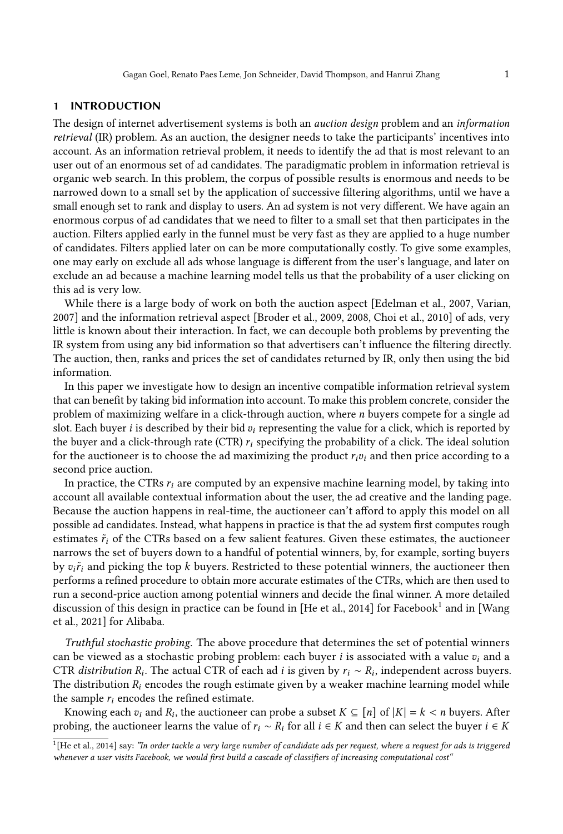## 1 INTRODUCTION

The design of internet advertisement systems is both an auction design problem and an information retrieval (IR) problem. As an auction, the designer needs to take the participants' incentives into account. As an information retrieval problem, it needs to identify the ad that is most relevant to an user out of an enormous set of ad candidates. The paradigmatic problem in information retrieval is organic web search. In this problem, the corpus of possible results is enormous and needs to be narrowed down to a small set by the application of successive filtering algorithms, until we have a small enough set to rank and display to users. An ad system is not very different. We have again an enormous corpus of ad candidates that we need to filter to a small set that then participates in the auction. Filters applied early in the funnel must be very fast as they are applied to a huge number of candidates. Filters applied later on can be more computationally costly. To give some examples, one may early on exclude all ads whose language is different from the user's language, and later on exclude an ad because a machine learning model tells us that the probability of a user clicking on this ad is very low.

While there is a large body of work on both the auction aspect [\[Edelman et al., 2007,](#page-17-0) [Varian,](#page-17-1) [2007\]](#page-17-1) and the information retrieval aspect [\[Broder et al., 2009,](#page-17-2) [2008,](#page-17-3) [Choi et al., 2010\]](#page-17-4) of ads, very little is known about their interaction. In fact, we can decouple both problems by preventing the IR system from using any bid information so that advertisers can't influence the filtering directly. The auction, then, ranks and prices the set of candidates returned by IR, only then using the bid information.

In this paper we investigate how to design an incentive compatible information retrieval system that can benefit by taking bid information into account. To make this problem concrete, consider the problem of maximizing welfare in a click-through auction, where  $n$  buyers compete for a single ad slot. Each buyer *i* is described by their bid  $v_i$  representing the value for a click, which is reported by the buyer and a click-through rate (CTR)  $r_i$  specifying the probability of a click. The ideal solution for the auctioneer is to choose the ad maximizing the product  $r_i v_i$  and then price according to a second price auction.

In practice, the CTRs  $r_i$  are computed by an expensive machine learning model, by taking into account all available contextual information about the user, the ad creative and the landing page. Because the auction happens in real-time, the auctioneer can't afford to apply this model on all possible ad candidates. Instead, what happens in practice is that the ad system first computes rough estimates  $\tilde{r}_i$  of the CTRs based on a few salient features. Given these estimates, the auctioneer narrows the set of buyers down to a handful of potential winners, by, for example, sorting buyers by  $v_i \tilde{r}_i$  and picking the top k buyers. Restricted to these potential winners, the auctioneer then performs a refined procedure to obtain more accurate estimates of the CTRs, which are then used to run a second-price auction among potential winners and decide the final winner. A more detailed discussion of this design in practice can be found in [\[He et al., 2014\]](#page-17-5) for Facebook<sup>[1](#page-1-0)</sup> and in [\[Wang](#page-17-6)] [et al., 2021\]](#page-17-6) for Alibaba.

Truthful stochastic probing. The above procedure that determines the set of potential winners can be viewed as a stochastic probing problem: each buyer  $i$  is associated with a value  $v_i$  and a CTR distribution  $R_i$ . The actual CTR of each ad *i* is given by  $r_i \sim R_i$ , independent across buyers. The distribution  $R_i$  encodes the rough estimate given by a weaker machine learning model while the sample  $r_i$  encodes the refined estimate.

Knowing each  $v_i$  and  $R_i$ , the auctioneer can probe a subset  $K \subseteq [n]$  of  $|K| = k < n$  buyers. After probing, the auctioneer learns the value of  $r_i \sim R_i$  for all  $i \in K$  and then can select the buyer  $i \in K$ 

<span id="page-1-0"></span> $^1$ [\[He et al., 2014\]](#page-17-5) say: "In order tackle a very large number of candidate ads per request, where a request for ads is triggered whenever a user visits Facebook, we would first build a cascade of classifiers of increasing computational cost"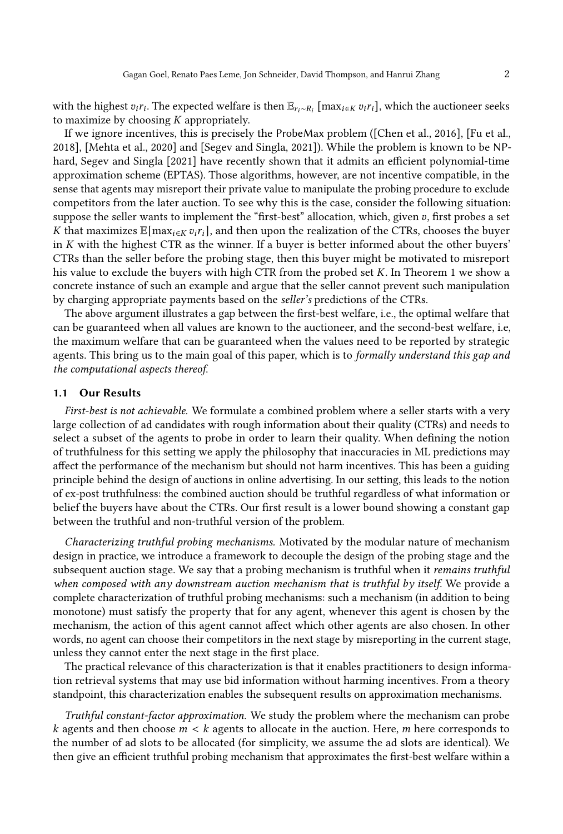with the highest  $v_i r_i$ . The expected welfare is then  $\mathbb{E}_{r_i \sim R_i}$  [max $_{i \in K} v_i r_i$ ], which the auctioneer seeks to maximize by choosing  $K$  appropriately.

If we ignore incentives, this is precisely the ProbeMax problem ([\[Chen et al., 2016\]](#page-17-7), [\[Fu et al.,](#page-17-8) [2018\]](#page-17-8), [\[Mehta et al., 2020\]](#page-17-9) and [\[Segev and Singla, 2021\]](#page-17-10)). While the problem is known to be NPhard, [Segev and Singla](#page-17-10) [\[2021\]](#page-17-10) have recently shown that it admits an efficient polynomial-time approximation scheme (EPTAS). Those algorithms, however, are not incentive compatible, in the sense that agents may misreport their private value to manipulate the probing procedure to exclude competitors from the later auction. To see why this is the case, consider the following situation: suppose the seller wants to implement the "first-best" allocation, which, given  $v$ , first probes a set K that maximizes  $\mathbb{E}[\max_{i \in K} v_i r_i]$ , and then upon the realization of the CTRs, chooses the buyer in  $K$  with the highest CTR as the winner. If a buyer is better informed about the other buyers' CTRs than the seller before the probing stage, then this buyer might be motivated to misreport his value to exclude the buyers with high CTR from the probed set  $K$ . In Theorem [1](#page-5-0) we show a concrete instance of such an example and argue that the seller cannot prevent such manipulation by charging appropriate payments based on the seller's predictions of the CTRs.

The above argument illustrates a gap between the first-best welfare, i.e., the optimal welfare that can be guaranteed when all values are known to the auctioneer, and the second-best welfare, i.e, the maximum welfare that can be guaranteed when the values need to be reported by strategic agents. This bring us to the main goal of this paper, which is to *formally understand this gap and* the computational aspects thereof.

# 1.1 Our Results

First-best is not achievable. We formulate a combined problem where a seller starts with a very large collection of ad candidates with rough information about their quality (CTRs) and needs to select a subset of the agents to probe in order to learn their quality. When defining the notion of truthfulness for this setting we apply the philosophy that inaccuracies in ML predictions may affect the performance of the mechanism but should not harm incentives. This has been a guiding principle behind the design of auctions in online advertising. In our setting, this leads to the notion of ex-post truthfulness: the combined auction should be truthful regardless of what information or belief the buyers have about the CTRs. Our first result is a lower bound showing a constant gap between the truthful and non-truthful version of the problem.

Characterizing truthful probing mechanisms. Motivated by the modular nature of mechanism design in practice, we introduce a framework to decouple the design of the probing stage and the subsequent auction stage. We say that a probing mechanism is truthful when it remains truthful when composed with any downstream auction mechanism that is truthful by itself. We provide a complete characterization of truthful probing mechanisms: such a mechanism (in addition to being monotone) must satisfy the property that for any agent, whenever this agent is chosen by the mechanism, the action of this agent cannot affect which other agents are also chosen. In other words, no agent can choose their competitors in the next stage by misreporting in the current stage, unless they cannot enter the next stage in the first place.

The practical relevance of this characterization is that it enables practitioners to design information retrieval systems that may use bid information without harming incentives. From a theory standpoint, this characterization enables the subsequent results on approximation mechanisms.

Truthful constant-factor approximation. We study the problem where the mechanism can probe k agents and then choose  $m < k$  agents to allocate in the auction. Here, m here corresponds to the number of ad slots to be allocated (for simplicity, we assume the ad slots are identical). We then give an efficient truthful probing mechanism that approximates the first-best welfare within a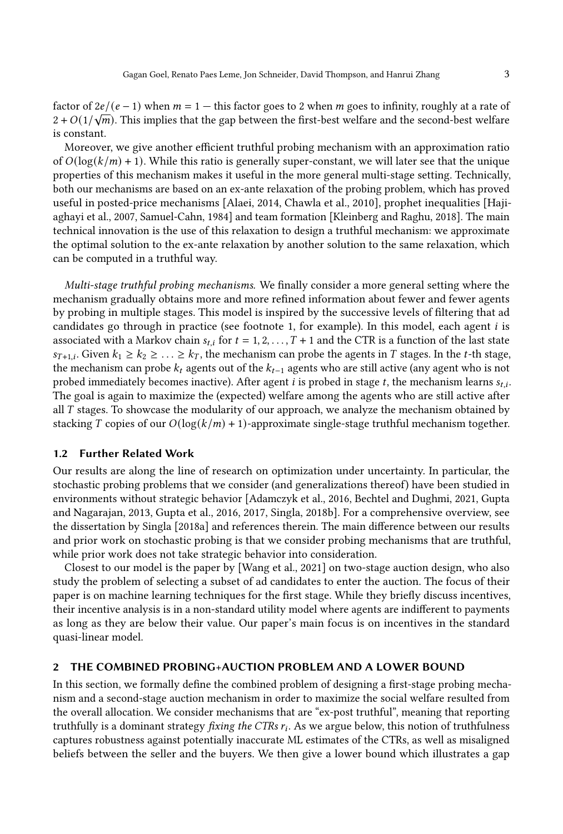factor of  $2e/(e-1)$  when  $m = 1$  — this factor goes to 2 when  $m$  goes to infinity, roughly at a rate of  $2 + O(1/\sqrt{m})$ . This implies that the gap between the first-best welfare and the second-best welfare is constant.

Moreover, we give another efficient truthful probing mechanism with an approximation ratio of  $O(log(k/m) + 1)$ . While this ratio is generally super-constant, we will later see that the unique properties of this mechanism makes it useful in the more general multi-stage setting. Technically, both our mechanisms are based on an ex-ante relaxation of the probing problem, which has proved useful in posted-price mechanisms [\[Alaei, 2014,](#page-16-0) [Chawla et al., 2010\]](#page-17-11), prophet inequalities [\[Haji](#page-17-12)[aghayi et al., 2007,](#page-17-12) [Samuel-Cahn, 1984\]](#page-17-13) and team formation [\[Kleinberg and Raghu, 2018\]](#page-17-14). The main technical innovation is the use of this relaxation to design a truthful mechanism: we approximate the optimal solution to the ex-ante relaxation by another solution to the same relaxation, which can be computed in a truthful way.

Multi-stage truthful probing mechanisms. We finally consider a more general setting where the mechanism gradually obtains more and more refined information about fewer and fewer agents by probing in multiple stages. This model is inspired by the successive levels of filtering that ad candidates go through in practice (see footnote 1, for example). In this model, each agent  $i$  is associated with a Markov chain  $s_{t,i}$  for  $t = 1, 2, ..., T + 1$  and the CTR is a function of the last state  $s_{T+1,i}$ . Given  $k_1 \geq k_2 \geq \ldots \geq k_T$ , the mechanism can probe the agents in T stages. In the t-th stage, the mechanism can probe  $k_t$  agents out of the  $k_{t-1}$  agents who are still active (any agent who is not probed immediately becomes inactive). After agent  $i$  is probed in stage  $t$ , the mechanism learns  $s_{t,i}$ . The goal is again to maximize the (expected) welfare among the agents who are still active after all  $T$  stages. To showcase the modularity of our approach, we analyze the mechanism obtained by stacking T copies of our  $O(\log(k/m) + 1)$ -approximate single-stage truthful mechanism together.

# 1.2 Further Related Work

Our results are along the line of research on optimization under uncertainty. In particular, the stochastic probing problems that we consider (and generalizations thereof) have been studied in environments without strategic behavior [\[Adamczyk et al., 2016,](#page-16-1) [Bechtel and Dughmi, 2021,](#page-16-2) [Gupta](#page-17-15) [and Nagarajan, 2013,](#page-17-15) [Gupta et al., 2016,](#page-17-16) [2017,](#page-17-17) [Singla, 2018b\]](#page-17-18). For a comprehensive overview, see the dissertation by [Singla](#page-17-19) [\[2018a\]](#page-17-19) and references therein. The main difference between our results and prior work on stochastic probing is that we consider probing mechanisms that are truthful, while prior work does not take strategic behavior into consideration.

Closest to our model is the paper by [\[Wang et al., 2021\]](#page-17-6) on two-stage auction design, who also study the problem of selecting a subset of ad candidates to enter the auction. The focus of their paper is on machine learning techniques for the first stage. While they briefly discuss incentives, their incentive analysis is in a non-standard utility model where agents are indifferent to payments as long as they are below their value. Our paper's main focus is on incentives in the standard quasi-linear model.

## 2 THE COMBINED PROBING+AUCTION PROBLEM AND A LOWER BOUND

In this section, we formally define the combined problem of designing a first-stage probing mechanism and a second-stage auction mechanism in order to maximize the social welfare resulted from the overall allocation. We consider mechanisms that are "ex-post truthful", meaning that reporting truthfully is a dominant strategy *fixing the CTRs*  $r_i$ *.* As we argue below, this notion of truthfulness captures robustness against potentially inaccurate ML estimates of the CTRs, as well as misaligned beliefs between the seller and the buyers. We then give a lower bound which illustrates a gap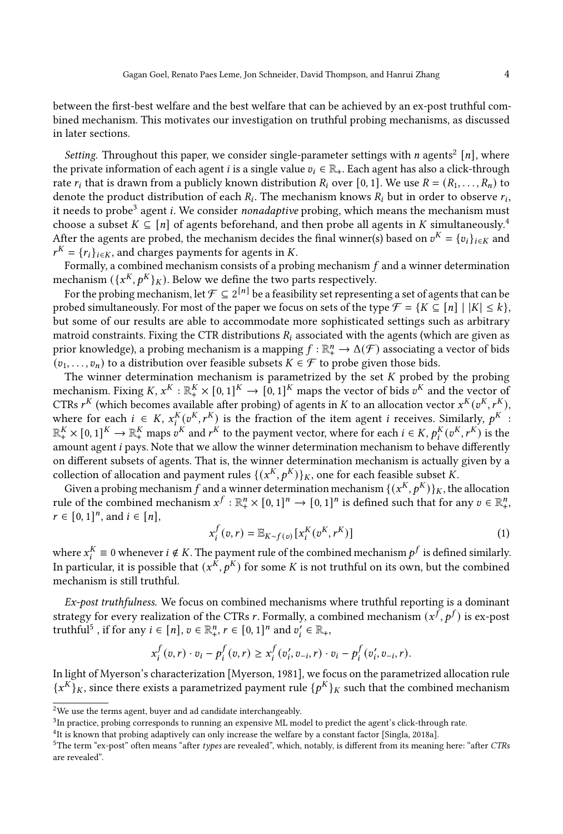between the first-best welfare and the best welfare that can be achieved by an ex-post truthful combined mechanism. This motivates our investigation on truthful probing mechanisms, as discussed in later sections.

Setting. Throughout this paper, we consider single-parameter settings with  $n$  agents<sup>[2](#page-4-0)</sup> [n], where the private information of each agent *i* is a single value  $v_i \in \mathbb{R}_+$ . Each agent has also a click-through rate  $r_i$  that is drawn from a publicly known distribution  $R_i$  over [0, 1]. We use  $R = (R_1, \ldots, R_n)$  to denote the product distribution of each  $R_i$ . The mechanism knows  $R_i$  but in order to observe  $r_i$ , it needs to probe<sup>[3](#page-4-1)</sup> agent *i*. We consider nonadaptive probing, which means the mechanism must choose a subset  $K \subseteq [n]$  of agents beforehand, and then probe all agents in K simultaneously.<sup>[4](#page-4-2)</sup> After the agents are probed, the mechanism decides the final winner(s) based on  $v^K = \{v_i\}_{i \in K}$  and  $r^K = \{r_i\}_{i \in K}$ , and charges payments for agents in K.

Formally, a combined mechanism consists of a probing mechanism  $f$  and a winner determination mechanism  $({x^K, p^K}_K)$ . Below we define the two parts respectively.

For the probing mechanism, let  $\mathcal{F} \subseteq 2^{[n]}$  be a feasibility set representing a set of agents that can be probed simultaneously. For most of the paper we focus on sets of the type  $\mathcal{F} = \{K \subseteq [n] \mid |K| \leq k\}$ , but some of our results are able to accommodate more sophisticated settings such as arbitrary matroid constraints. Fixing the CTR distributions  $R_i$  associated with the agents (which are given as prior knowledge), a probing mechanism is a mapping  $f : \mathbb{R}^n_+ \to \Delta(\mathcal{F})$  associating a vector of bids  $(v_1, \ldots, v_n)$  to a distribution over feasible subsets  $K \in \mathcal{F}$  to probe given those bids.

The winner determination mechanism is parametrized by the set  $K$  probed by the probing mechanism. Fixing  $K, x^K : \mathbb{R}_+^K \times [0,1]^K \to [0,1]^K$  maps the vector of bids  $v^K$  and the vector of CTRs  $r^{K}$  (which becomes available after probing) of agents in K to an allocation vector  $x^{K}(v^{K}, r^{K})$ , where for each  $i \in K$ ,  $x_i^K(v^K, r^K)$  is the fraction of the item agent *i* receives. Similarly,  $p^K$ :  $\mathbb{R}^K_+ \times [0,1]^K \to \mathbb{R}^K_+$  maps  $v^K$  and  $r^K$  to the payment vector, where for each  $i \in K$ ,  $p_i^K(v^K, r^K)$  is the amount agent *i* pays. Note that we allow the winner determination mechanism to behave differently on different subsets of agents. That is, the winner determination mechanism is actually given by a collection of allocation and payment rules  $\{(x^K, p^K)\}_K$ , one for each feasible subset K.

Given a probing mechanism f and a winner determination mechanism  $\{(x^{K}, p^{K})\}_{K}$ , the allocation rule of the combined mechanism  $x^f : \mathbb{R}^n_+ \times [0,1]^n \to [0,1]^n$  is defined such that for any  $v \in \mathbb{R}^n_+$ ,  $r \in [0, 1]^n$ , and  $i \in [n]$ ,

<span id="page-4-4"></span>
$$
x_i^f(v,r) = \mathbb{E}_{K \sim f(v)}[x_i^K(v^K, r^K)] \tag{1}
$$

where  $x_i^K \equiv 0$  whenever  $i \notin K.$  The payment rule of the combined mechanism  $p^f$  is defined similarly. In particular, it is possible that  $(x^{\tilde{K}}, p^{\tilde{K}})$  for some K is not truthful on its own, but the combined mechanism is still truthful.

Ex-post truthfulness. We focus on combined mechanisms where truthful reporting is a dominant strategy for every realization of the CTRs r. Formally, a combined mechanism  $(x^f, p^f)$  is ex-post truthful<sup>[5](#page-4-3)</sup>, if for any  $i \in [n]$ ,  $v \in \mathbb{R}_+^n$ ,  $r \in [0, 1]^n$  and  $v'_i \in \mathbb{R}_+$ ,

$$
x_i^f(v,r) \cdot v_i - p_i^f(v,r) \ge x_i^f(v_i', v_{-i}, r) \cdot v_i - p_i^f(v_i', v_{-i}, r).
$$

In light of [Myerson'](#page-17-20)s characterization [\[Myerson, 1981\]](#page-17-20), we focus on the parametrized allocation rule  ${x<sup>K</sup>}_{K}$ , since there exists a parametrized payment rule  ${p<sup>K</sup>}_{K}$  such that the combined mechanism

<span id="page-4-0"></span><sup>2</sup>We use the terms agent, buyer and ad candidate interchangeably.

<span id="page-4-1"></span><sup>3</sup> In practice, probing corresponds to running an expensive ML model to predict the agent's click-through rate.

<span id="page-4-2"></span><sup>4</sup> It is known that probing adaptively can only increase the welfare by a constant factor [\[Singla, 2018a\]](#page-17-19).

<span id="page-4-3"></span><sup>&</sup>lt;sup>5</sup>The term "ex-post" often means "after types are revealed", which, notably, is different from its meaning here: "after CTRs are revealed".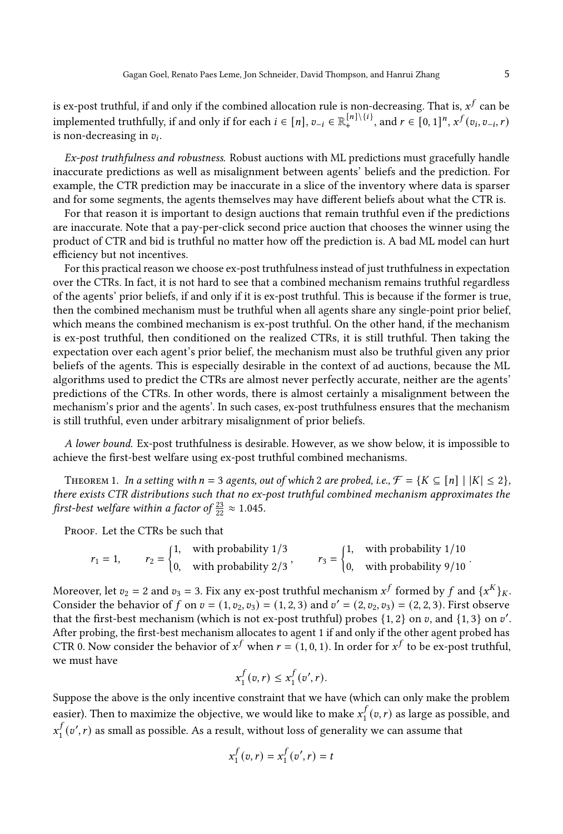is ex-post truthful, if and only if the combined allocation rule is non-decreasing. That is,  $x^f$  can be implemented truthfully, if and only if for each  $i \in [n]$ ,  $v_{-i} \in \mathbb{R}^{[n] \setminus \{i\}}$ , and  $r \in [0, 1]^n$ ,  $x^f(v_i, v_{-i}, r)$ is non-decreasing in  $v_i$ .

Ex-post truthfulness and robustness. Robust auctions with ML predictions must gracefully handle inaccurate predictions as well as misalignment between agents' beliefs and the prediction. For example, the CTR prediction may be inaccurate in a slice of the inventory where data is sparser and for some segments, the agents themselves may have different beliefs about what the CTR is.

For that reason it is important to design auctions that remain truthful even if the predictions are inaccurate. Note that a pay-per-click second price auction that chooses the winner using the product of CTR and bid is truthful no matter how off the prediction is. A bad ML model can hurt efficiency but not incentives.

For this practical reason we choose ex-post truthfulness instead of just truthfulness in expectation over the CTRs. In fact, it is not hard to see that a combined mechanism remains truthful regardless of the agents' prior beliefs, if and only if it is ex-post truthful. This is because if the former is true, then the combined mechanism must be truthful when all agents share any single-point prior belief, which means the combined mechanism is ex-post truthful. On the other hand, if the mechanism is ex-post truthful, then conditioned on the realized CTRs, it is still truthful. Then taking the expectation over each agent's prior belief, the mechanism must also be truthful given any prior beliefs of the agents. This is especially desirable in the context of ad auctions, because the ML algorithms used to predict the CTRs are almost never perfectly accurate, neither are the agents' predictions of the CTRs. In other words, there is almost certainly a misalignment between the mechanism's prior and the agents'. In such cases, ex-post truthfulness ensures that the mechanism is still truthful, even under arbitrary misalignment of prior beliefs.

A lower bound. Ex-post truthfulness is desirable. However, as we show below, it is impossible to achieve the first-best welfare using ex-post truthful combined mechanisms.

<span id="page-5-0"></span>THEOREM 1. In a setting with  $n = 3$  agents, out of which 2 are probed, i.e.,  $\mathcal{F} = \{K \subseteq [n] \mid |K| \leq 2\}$ , there exists CTR distributions such that no ex-post truthful combined mechanism approximates the first-best welfare within a factor of  $\frac{23}{22} \approx 1.045$ .

PROOF. Let the CTRs be such that

$$
r_1 = 1
$$
,  $r_2 = \begin{cases} 1, & \text{with probability } 1/3 \\ 0, & \text{with probability } 2/3 \end{cases}$ ,  $r_3 = \begin{cases} 1, & \text{with probability } 1/10 \\ 0, & \text{with probability } 9/10 \end{cases}$ .

Moreover, let  $v_2 = 2$  and  $v_3 = 3$ . Fix any ex-post truthful mechanism  $x^f$  formed by  $f$  and  $\{x^K\}_K$ . Consider the behavior of f on  $v = (1, v_2, v_3) = (1, 2, 3)$  and  $v' = (2, v_2, v_3) = (2, 2, 3)$ . First observe that the first-best mechanism (which is not ex-post truthful) probes  $\{1, 2\}$  on v, and  $\{1, 3\}$  on v'. After probing, the first-best mechanism allocates to agent 1 if and only if the other agent probed has CTR 0. Now consider the behavior of  $x^f$  when  $r = (1, 0, 1)$ . In order for  $x^f$  to be ex-post truthful, we must have

$$
x_1^f(v,r) \le x_1^f(v',r).
$$

Suppose the above is the only incentive constraint that we have (which can only make the problem easier). Then to maximize the objective, we would like to make  $x_i^f$  $_{1}^{f}(v,r)$  as large as possible, and  $x^f$  $\boldsymbol{t}_1^f(v', r)$  as small as possible. As a result, without loss of generality we can assume that

$$
x_1^f(v,r) = x_1^f(v',r) = t
$$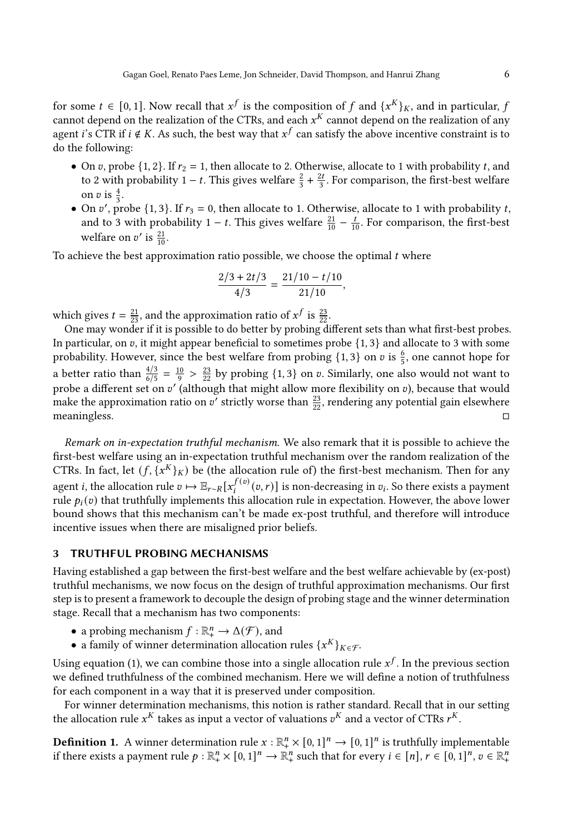for some  $t \in [0, 1]$ . Now recall that  $x^f$  is the composition of f and  $\{x^K\}_K$ , and in particular, f cannot depend on the realization of the CTRs, and each  $x^K$  cannot depend on the realization of any agent *i*'s CTR if  $i \notin K$ . As such, the best way that  $x^f$  can satisfy the above incentive constraint is to do the following:

- On v, probe  $\{1, 2\}$ . If  $r_2 = 1$ , then allocate to 2. Otherwise, allocate to 1 with probability t, and to 2 with probability 1 – t. This gives welfare  $\frac{2}{3} + \frac{2t}{3}$ . For comparison, the first-best welfare on v is  $\frac{4}{3}$ .
- On v', probe {1, 3}. If  $r_3 = 0$ , then allocate to 1. Otherwise, allocate to 1 with probability t, and to 3 with probability 1 – t. This gives welfare  $\frac{21}{10} - \frac{t}{10}$ . For comparison, the first-best welfare on  $v'$  is  $\frac{21}{10}$ .

To achieve the best approximation ratio possible, we choose the optimal  $t$  where

$$
\frac{2/3+2t/3}{4/3} = \frac{21/10-t/10}{21/10},
$$

which gives  $t = \frac{21}{23}$ , and the approximation ratio of  $x^f$  is  $\frac{23}{22}$ .

One may wonder if it is possible to do better by probing different sets than what first-best probes. In particular, on  $v$ , it might appear beneficial to sometimes probe  $\{1, 3\}$  and allocate to 3 with some probability. However, since the best welfare from probing  $\{1,3\}$  on  $v$  is  $\frac{6}{5}$ , one cannot hope for a better ratio than  $\frac{4/3}{6/5} = \frac{10}{9} > \frac{23}{22}$  by probing {1, 3} on v. Similarly, one also would not want to probe a different set on  $v'$  (although that might allow more flexibility on v), because that would make the approximation ratio on v' strictly worse than  $\frac{23}{22}$ , rendering any potential gain elsewhere meaningless.  $\square$ 

Remark on in-expectation truthful mechanism. We also remark that it is possible to achieve the first-best welfare using an in-expectation truthful mechanism over the random realization of the CTRs. In fact, let  $(f, \{x^K\}_K)$  be (the allocation rule of) the first-best mechanism. Then for any agent *i*, the allocation rule  $v \mapsto \mathbb{E}_{r \sim R}[x_i^{f(v)}(v,r)]$  is non-decreasing in  $v_i$ . So there exists a payment rule  $p_i(v)$  that truthfully implements this allocation rule in expectation. However, the above lower bound shows that this mechanism can't be made ex-post truthful, and therefore will introduce incentive issues when there are misaligned prior beliefs.

## <span id="page-6-0"></span>3 TRUTHFUL PROBING MECHANISMS

Having established a gap between the first-best welfare and the best welfare achievable by (ex-post) truthful mechanisms, we now focus on the design of truthful approximation mechanisms. Our first step is to present a framework to decouple the design of probing stage and the winner determination stage. Recall that a mechanism has two components:

- a probing mechanism  $f : \mathbb{R}^n_+ \to \Delta(\mathcal{F})$ , and
- a family of winner determination allocation rules  $\{x^K\}_{K\in\mathcal{F}}$ .

Using equation [\(1\)](#page-4-4), we can combine those into a single allocation rule  $x^f$ . In the previous section we defined truthfulness of the combined mechanism. Here we will define a notion of truthfulness for each component in a way that it is preserved under composition.

For winner determination mechanisms, this notion is rather standard. Recall that in our setting the allocation rule  $x^K$  takes as input a vector of valuations  $v^K$  and a vector of CTRs  $r^K$ .

**Definition 1.** A winner determination rule  $x : \mathbb{R}^n_+ \times [0,1]^n \to [0,1]^n$  is truthfully implementable if there exists a payment rule  $p : \mathbb{R}^n_+ \times [0,1]^n \to \mathbb{R}^n_+$  such that for every  $i \in [n], r \in [0,1]^n, v \in \mathbb{R}^n_+$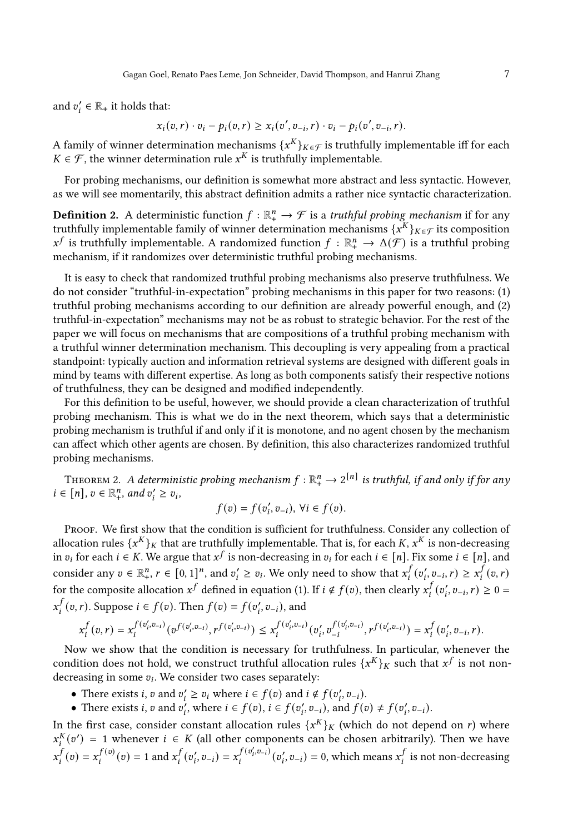and  $v_i' \in \mathbb{R}_+$  it holds that:

$$
x_i(v,r) \cdot v_i - p_i(v,r) \ge x_i(v',v_{-i},r) \cdot v_i - p_i(v',v_{-i},r).
$$

A family of winner determination mechanisms  $\{x^K\}_{K\in\mathcal{F}}$  is truthfully implementable iff for each  $K \in \mathcal{F}$ , the winner determination rule  $x^K$  is truthfully implementable.

For probing mechanisms, our definition is somewhat more abstract and less syntactic. However, as we will see momentarily, this abstract definition admits a rather nice syntactic characterization.

<span id="page-7-1"></span>**Definition 2.** A deterministic function  $f : \mathbb{R}^n_+ \to \mathcal{F}$  is a *truthful probing mechanism* if for any truthfully implementable family of winner determination mechanisms  $\{x^{K}\}_{K\in\mathcal{F}}$  its composition  $x^f$  is truthfully implementable. A randomized function  $f : \mathbb{R}^n_+ \to \Delta(\mathcal{F})$  is a truthful probing mechanism, if it randomizes over deterministic truthful probing mechanisms.

It is easy to check that randomized truthful probing mechanisms also preserve truthfulness. We do not consider "truthful-in-expectation" probing mechanisms in this paper for two reasons: (1) truthful probing mechanisms according to our definition are already powerful enough, and (2) truthful-in-expectation" mechanisms may not be as robust to strategic behavior. For the rest of the paper we will focus on mechanisms that are compositions of a truthful probing mechanism with a truthful winner determination mechanism. This decoupling is very appealing from a practical standpoint: typically auction and information retrieval systems are designed with different goals in mind by teams with different expertise. As long as both components satisfy their respective notions of truthfulness, they can be designed and modified independently.

For this definition to be useful, however, we should provide a clean characterization of truthful probing mechanism. This is what we do in the next theorem, which says that a deterministic probing mechanism is truthful if and only if it is monotone, and no agent chosen by the mechanism can affect which other agents are chosen. By definition, this also characterizes randomized truthful probing mechanisms.

<span id="page-7-0"></span>THEOREM 2. A deterministic probing mechanism  $f: \mathbb{R}^n_+ \to 2^{[n]}$  is truthful, if and only if for any  $i \in [n], v \in \mathbb{R}_+^n$ , and  $v'_i \ge v_i$ ,

$$
f(v) = f(v'_i, v_{-i}), \forall i \in f(v).
$$

PROOF. We first show that the condition is sufficient for truthfulness. Consider any collection of allocation rules  $\{x^K\}_K$  that are truthfully implementable. That is, for each K,  $x^K$  is non-decreasing in  $v_i$  for each  $i \in K$ . We argue that  $x^f$  is non-decreasing in  $v_i$  for each  $i \in [n]$ . Fix some  $i \in [n]$ , and consider any  $v \in \mathbb{R}^n_+$ ,  $r \in [0, 1]^n$ , and  $v'_i \ge v_i$ . We only need to show that  $x_i^f$  $\int_i^f (v_i', v_{-i}, r) \geq x_i^f$  $_{i}^{f}(v, r)$ for the composite allocation  $x^f$  defined in equation [\(1\)](#page-4-4). If  $i \notin f(v)$ , then clearly  $x_i^f$  $\int_{i}^{f} (v'_i, v_{-i}, r) \ge 0 =$  $x^j$  $f_j(f(v,r))$ . Suppose  $i \in f(v)$ . Then  $f(v) = f(v'_i, v_{-i})$ , and

$$
x_i^f(v,r)=x_i^{f(v_i',v_{-i})}(v^{f(v_i',v_{-i})},r^{f(v_i',v_{-i})})\leq x_i^{f(v_i',v_{-i})}(v_i',v_{-i}^{f(v_i',v_{-i})},r^{f(v_i',v_{-i})})=x_i^f(v_i',v_{-i},r).
$$

Now we show that the condition is necessary for truthfulness. In particular, whenever the condition does not hold, we construct truthful allocation rules  $\{x^K\}_K$  such that  $x^f$  is not nondecreasing in some  $v_i$ . We consider two cases separately:

- There exists *i*, *v* and  $v'_i \ge v_i$  where  $i \in f(v)$  and  $i \notin f(v'_i, v_{-i})$ .
- There exists *i*, *v* and  $v'_i$ , where  $i \in f(v'_i, v_{-i})$ , and  $f(v) \neq f(v'_i, v_{-i})$ .

In the first case, consider constant allocation rules  $\{x^{K}\}_K$  (which do not depend on r) where  $x_i^{K}(v') = 1$  whenever  $i \in K$  (all other components can be chosen arbitrarily). Then we have  $x^j$  $J_i^f(v) = x_i^{f(v)}(v) = 1$  and  $x_i^f$  $f_i(v_i', v_{-i}) = x_i^{f(v_i', v_{-i})}(v_i', v_{-i}) = 0$ , which means  $x_i^{f}$  $\frac{f}{i}$  is not non-decreasing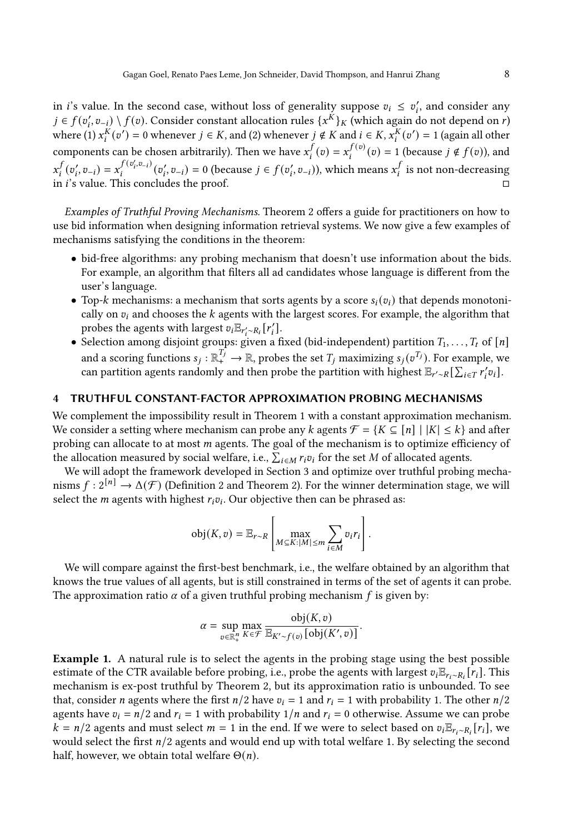in *i*'s value. In the second case, without loss of generality suppose  $v_i \leq v'_i$ , and consider any  $j \in f(v'_i, v_{-i}) \setminus f(v)$ . Consider constant allocation rules  $\{x^{\tilde{K}}\}_K$  (which again do not depend on r) where (1)  $x_i^K(v') = 0$  whenever  $j \in K$ , and (2) whenever  $j \notin K$  and  $i \in K$ ,  $x_i^K(v') = 1$  (again all other components can be chosen arbitrarily). Then we have  $x^f$  $f_i(t) = x_i^{f(v)}(v) = 1$  (because  $j \notin f(v)$ ), and  $x_i^j$  $f_i(v_i', v_{-i}) = x_i^{f(v_i', v_{-i})}(v_i', v_{-i}) = 0$  (because  $j \in f(v_i', v_{-i})$ ), which means  $x_i^{f}$  $\frac{f}{i}$  is not non-decreasing in *i*'s value. This concludes the proof.  $□$ 

Examples of Truthful Proving Mechanisms. Theorem [2](#page-7-0) offers a guide for practitioners on how to use bid information when designing information retrieval systems. We now give a few examples of mechanisms satisfying the conditions in the theorem:

- bid-free algorithms: any probing mechanism that doesn't use information about the bids. For example, an algorithm that filters all ad candidates whose language is different from the user's language.
- Top-k mechanisms: a mechanism that sorts agents by a score  $s_i(v_i)$  that depends monotonically on  $v_i$  and chooses the  $k$  agents with the largest scores. For example, the algorithm that probes the agents with largest  $v_i \mathbb{E}_{r_i' \sim R_i} [r_i']$ .
- Selection among disjoint groups: given a fixed (bid-independent) partition  $T_1, \ldots, T_t$  of  $[n]$ and a scoring functions  $s_j : \mathbb{R}^{T_j} \to \mathbb{R}$ , probes the set  $T_j$  maximizing  $s_j(v^{T_j})$ . For example, we can partition agents randomly and then probe the partition with highest  $\mathbb{E}_{r'\sim R}[\sum_{i\in T}r'_iv_i]$ .

# 4 TRUTHFUL CONSTANT-FACTOR APPROXIMATION PROBING MECHANISMS

We complement the impossibility result in Theorem [1](#page-5-0) with a constant approximation mechanism. We consider a setting where mechanism can probe any k agents  $\mathcal{F} = \{K \subseteq [n] \mid |K| \leq k\}$  and after probing can allocate to at most *m* agents. The goal of the mechanism is to optimize efficiency of the allocation measured by social welfare, i.e.,  $\sum_{i \in M} r_i v_i$  for the set  $M$  of allocated agents.

We will adopt the framework developed in Section [3](#page-6-0) and optimize over truthful probing mechanisms  $f: 2^{[n]} \to \Delta(\mathcal{F})$  $f: 2^{[n]} \to \Delta(\mathcal{F})$  $f: 2^{[n]} \to \Delta(\mathcal{F})$  (Definition 2 and Theorem [2\)](#page-7-0). For the winner determination stage, we will select the *m* agents with highest  $r_i v_i$ . Our objective then can be phrased as:

$$
\text{obj}(K, v) = \mathbb{E}_{r \sim R} \left[ \max_{M \subseteq K: |M| \leq m} \sum_{i \in M} v_i r_i \right].
$$

We will compare against the first-best benchmark, i.e., the welfare obtained by an algorithm that knows the true values of all agents, but is still constrained in terms of the set of agents it can probe. The approximation ratio  $\alpha$  of a given truthful probing mechanism f is given by:

$$
\alpha = \sup_{v \in \mathbb{R}_+^n} \max_{K \in \mathcal{F}} \frac{\text{obj}(K, v)}{\mathbb{E}_{K' \sim f(v)}[\text{obj}(K', v)]}.
$$

Example 1. A natural rule is to select the agents in the probing stage using the best possible estimate of the CTR available before probing, i.e., probe the agents with largest  $v_i \mathbb{E}_{r_i \sim R_i}[r_i]$ . This mechanism is ex-post truthful by Theorem [2,](#page-7-0) but its approximation ratio is unbounded. To see that, consider *n* agents where the first  $n/2$  have  $v_i = 1$  and  $r_i = 1$  with probability 1. The other  $n/2$ agents have  $v_i = n/2$  and  $r_i = 1$  with probability  $1/n$  and  $r_i = 0$  otherwise. Assume we can probe  $k = n/2$  agents and must select  $m = 1$  in the end. If we were to select based on  $v_i \mathbb{E}_{r_i \sim R_i} [r_i]$ , we would select the first  $n/2$  agents and would end up with total welfare 1. By selecting the second half, however, we obtain total welfare  $\Theta(n)$ .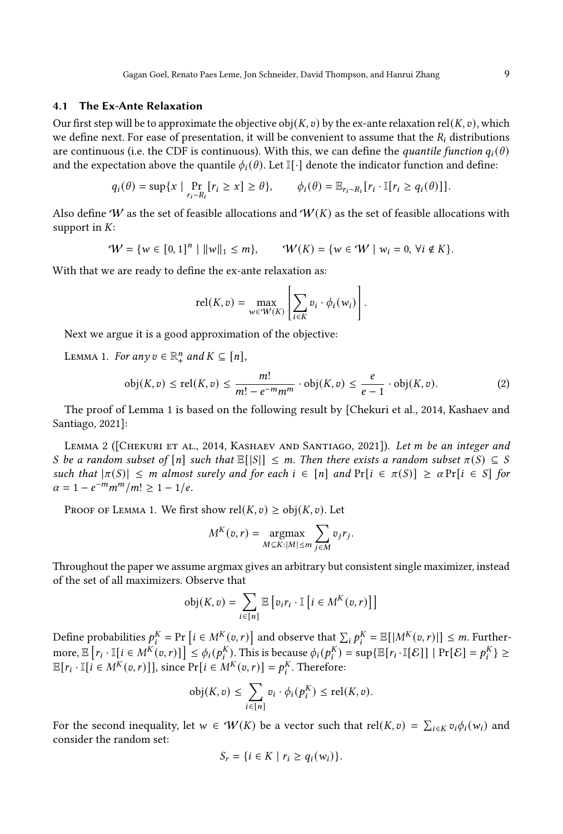## 4.1 The Ex-Ante Relaxation

Our first step will be to approximate the objective obj $(K, v)$  by the ex-ante relaxation rel $(K, v)$ , which we define next. For ease of presentation, it will be convenient to assume that the  $R_i$  distributions are continuous (i.e. the CDF is continuous). With this, we can define the *quantile function*  $q_i(\theta)$ and the expectation above the quantile  $\phi_i(\theta)$ . Let I[·] denote the indicator function and define:

$$
q_i(\theta) = \sup \{ x \mid \Pr_{r_i \sim R_i} [r_i \ge x] \ge \theta \}, \qquad \phi_i(\theta) = \mathbb{E}_{r_i \sim R_i} [r_i \cdot \mathbb{I}[r_i \ge q_i(\theta)]].
$$

Also define W as the set of feasible allocations and  $W(K)$  as the set of feasible allocations with support in  $K$ :

$$
W = \{ w \in [0,1]^n \mid ||w||_1 \le m \}, \qquad W(K) = \{ w \in W \mid w_i = 0, \forall i \notin K \}.
$$

With that we are ready to define the ex-ante relaxation as:

$$
\mathrm{rel}(K,v) = \max_{w \in W(K)} \left[ \sum_{i \in K} v_i \cdot \phi_i(w_i) \right].
$$

Next we argue it is a good approximation of the objective:

<span id="page-9-0"></span>LEMMA 1. For any  $v \in \mathbb{R}^n_+$  and  $K \subseteq [n]$ ,

<span id="page-9-2"></span>
$$
\text{obj}(K, v) \le \text{rel}(K, v) \le \frac{m!}{m! - e^{-m}m^m} \cdot \text{obj}(K, v) \le \frac{e}{e - 1} \cdot \text{obj}(K, v). \tag{2}
$$

The proof of Lemma [1](#page-9-0) is based on the following result by [\[Chekuri et al., 2014,](#page-17-21) [Kashaev and](#page-17-22) [Santiago, 2021\]](#page-17-22):

<span id="page-9-1"></span>LEMMA 2 ([CHEKURI ET AL., 2014, KASHAEV AND SANTIAGO, 2021]). Let m be an integer and S be a random subset of  $[n]$  such that  $\mathbb{E}[|S|] \leq m$ . Then there exists a random subset  $\pi(S) \subseteq S$ such that  $|\pi(S)| \leq m$  almost surely and for each  $i \in [n]$  and  $Pr[i \in \pi(S)] \geq \alpha Pr[i \in S]$  for  $\alpha = 1 - e^{-m} m^m / m! \ge 1 - 1/e.$ 

PROOF OF LEMMA [1.](#page-9-0) We first show  $rel(K, v) \geq obj(K, v)$ . Let

$$
M^{K}(v,r) = \underset{M \subseteq K: |M| \le m}{\operatorname{argmax}} \sum_{j \in M} v_{j} r_{j}.
$$

Throughout the paper we assume argmax gives an arbitrary but consistent single maximizer, instead of the set of all maximizers. Observe that

$$
obj(K, v) = \sum_{i \in [n]} \mathbb{E}\left[v_i r_i \cdot \mathbb{I}\left[i \in M^K(v, r)\right]\right]
$$

Define probabilities  $p_i^K = Pr\left[i \in M^K(v,r)\right]$  and observe that  $\sum_i p_i^K = \mathbb{E}[|M^K(v,r)|] \leq m$ . Furthermore,  $\mathbb{E}\left[r_i \cdot \mathbb{I}[i \in M^{\tilde{K}}(v,r)]\right] \leq \phi_i(p_i^K)$ . This is because  $\phi_i(p_i^K) = \sup\{\mathbb{E}[r_i \cdot \mathbb{I}[\mathcal{E}]] \mid \Pr[\mathcal{E}] = p_i^K\} \geq$  $\mathbb{E}[r_i \cdot \mathbb{I}[i] \in M^K(v,r)]$ , since  $\Pr[i \in M^K(v,r)] = p_i^K$ . Therefore:

$$
\text{obj}(K, v) \leq \sum_{i \in [n]} v_i \cdot \phi_i(p_i^K) \leq \text{rel}(K, v).
$$

For the second inequality, let  $w \in W(K)$  be a vector such that  $rel(K, v) = \sum_{i \in K} v_i \phi_i(w_i)$  and consider the random set:

$$
S_r = \{i \in K \mid r_i \ge q_i(w_i)\}.
$$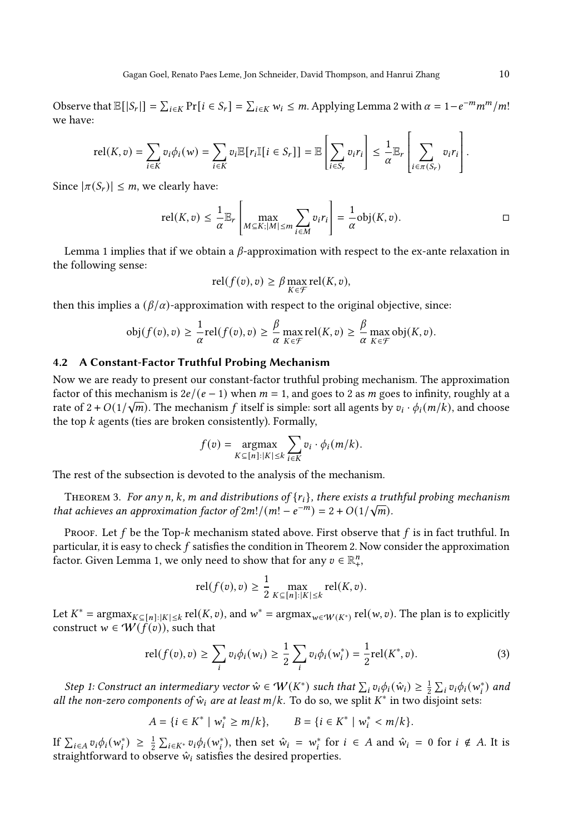Observe that  $\mathbb{E}[|S_r|] = \sum_{i \in K} \Pr[i \in S_r] = \sum_{i \in K} w_i \leq m$ . Applying Lemma [2](#page-9-1) with  $\alpha = 1 - e^{-m} m^m / m!$ we have:

$$
\text{rel}(K, v) = \sum_{i \in K} v_i \phi_i(w) = \sum_{i \in K} v_i \mathbb{E}[r_i \mathbb{I}[i \in S_r]] = \mathbb{E}\left[\sum_{i \in S_r} v_i r_i\right] \le \frac{1}{\alpha} \mathbb{E}_r \left[\sum_{i \in \pi(S_r)} v_i r_i\right]
$$

Since  $|\pi(S_r)| \leq m$ , we clearly have:

$$
\mathrm{rel}(K,v) \leq \frac{1}{\alpha} \mathbb{E}_r \left[ \max_{M \subseteq K; |M| \leq m} \sum_{i \in M} v_i r_i \right] = \frac{1}{\alpha} \mathrm{obj}(K,v).
$$

Lemma [1](#page-9-0) implies that if we obtain a  $\beta$ -approximation with respect to the ex-ante relaxation in the following sense:

$$
\operatorname{rel}(f(v), v) \ge \beta \max_{K \in \mathcal{F}} \operatorname{rel}(K, v),
$$

then this implies a  $(\beta/\alpha)$ -approximation with respect to the original objective, since:

$$
\text{obj}(f(v), v) \ge \frac{1}{\alpha} \text{rel}(f(v), v) \ge \frac{\beta}{\alpha} \max_{K \in \mathcal{F}} \text{rel}(K, v) \ge \frac{\beta}{\alpha} \max_{K \in \mathcal{F}} \text{obj}(K, v).
$$

#### 4.2 A Constant-Factor Truthful Probing Mechanism

Now we are ready to present our constant-factor truthful probing mechanism. The approximation factor of this mechanism is  $2e/(e-1)$  when  $m = 1$ , and goes to 2 as  $m$  goes to infinity, roughly at a rate of 2 +  $O(1/\sqrt{m})$ . The mechanism f itself is simple: sort all agents by  $v_i \cdot \phi_i(m/k)$ , and choose the top  $k$  agents (ties are broken consistently). Formally,

$$
f(v) = \underset{K \subseteq [n]: |K| \le k}{\operatorname{argmax}} \sum_{i \in K} v_i \cdot \phi_i(m/k).
$$

The rest of the subsection is devoted to the analysis of the mechanism.

<span id="page-10-1"></span>THEOREM 3. For any n, k, m and distributions of  $\{r_i\}$ , there exists a truthful probing mechanism that achieves an approximation factor of  $2m!/(m! - e^{-m}) = 2 + O(1/\sqrt{m}).$ 

Proof. Let  $f$  be the Top- $k$  mechanism stated above. First observe that  $f$  is in fact truthful. In particular, it is easy to check  $f$  satisfies the condition in Theorem [2.](#page-7-0) Now consider the approximation factor. Given Lemma [1,](#page-9-0) we only need to show that for any  $v \in \mathbb{R}^n_+$ ,

$$
rel(f(v), v) \ge \frac{1}{2} \max_{K \subseteq [n]: |K| \le k} rel(K, v).
$$

Let  $K^* = \text{argmax}_{K \subseteq [n]: |K| \leq k} \text{ rel}(K, v)$ , and  $w^* = \text{argmax}_{w \in \mathcal{W}(K^*)} \text{ rel}(w, v)$ . The plan is to explicitly construct  $w \in W(f(v))$ , such that

<span id="page-10-0"></span>
$$
rel(f(v), v) \ge \sum_{i} v_i \phi_i(w_i) \ge \frac{1}{2} \sum_{i} v_i \phi_i(w_i^*) = \frac{1}{2} rel(K^*, v).
$$
 (3)

Step 1: Construct an intermediary vector  $\hat{w} \in W(K^*)$  such that  $\sum_i v_i \phi_i(\hat{w}_i) \geq \frac{1}{2} \sum_i v_i \phi_i(w_i^*)$  and all the non-zero components of  $\hat{w}_i$  are at least m/k. To do so, we split  $K^*$  in two disjoint sets:

$$
A = \{ i \in K^* \mid w_i^* \ge m/k \}, \qquad B = \{ i \in K^* \mid w_i^* < m/k \}.
$$

If  $\sum_{i\in A} v_i \phi_i(w_i^*) \geq \frac{1}{2} \sum_{i\in K^*} v_i \phi_i(w_i^*)$ , then set  $\hat{w}_i = w_i^*$  for  $i \in A$  and  $\hat{w}_i = 0$  for  $i \notin A$ . It is straightforward to observe  $\hat{w}_i$  satisfies the desired properties.

.

 $\mathbf{I}$ 

 $\mathbf{r}$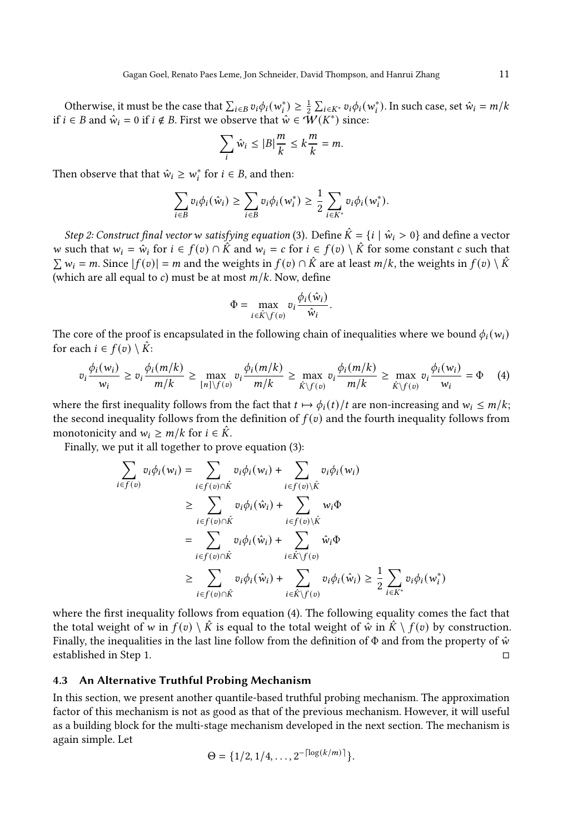Otherwise, it must be the case that  $\sum_{i \in B} v_i \phi_i(w_i^*) \geq \frac{1}{2} \sum_{i \in K^*} v_i \phi_i(w_i^*)$ . In such case, set  $\hat{w}_i = m/k$ if *i* ∈ *B* and  $\hat{w}_i = 0$  if *i* ∉ *B*. First we observe that  $\hat{w} \in \mathcal{W}(K^*)$  since:

$$
\sum_{i} \hat{w}_i \le |B| \frac{m}{k} \le k \frac{m}{k} = m.
$$

Then observe that that  $\hat{w}_i \geq w_i^*$  for  $i \in B$ , and then:

$$
\sum_{i\in B}v_i\phi_i(\hat{w}_i)\geq \sum_{i\in B}v_i\phi_i(w_i^*)\geq \frac{1}{2}\sum_{i\in K^*}v_i\phi_i(w_i^*).
$$

Step 2: Construct final vector w satisfying equation [\(3\)](#page-10-0). Define  $\hat{K} = \{i \mid \hat{w}_i > 0\}$  and define a vector w such that  $w_i = \hat{w}_i$  for  $i \in f(v) \cap \hat{K}$  and  $w_i = c$  for  $i \in f(v) \setminus \hat{K}$  for some constant c such that  $\sum w_i = m$ . Since  $|f(v)| = m$  and the weights in  $f(v) \cap \hat{K}$  are at least  $m/k$ , the weights in  $f(v) \setminus \hat{K}$ (which are all equal to c) must be at most  $m/k$ . Now, define

$$
\Phi = \max_{i \in \hat{K} \setminus f(v)} v_i \frac{\phi_i(\hat{w}_i)}{\hat{w}_i}.
$$

The core of the proof is encapsulated in the following chain of inequalities where we bound  $\phi_i(w_i)$ for each  $i \in f(v) \setminus \hat{K}$ :

<span id="page-11-0"></span>
$$
v_i \frac{\phi_i(w_i)}{w_i} \ge v_i \frac{\phi_i(m/k)}{m/k} \ge \max_{[n]\backslash f(v)} v_i \frac{\phi_i(m/k)}{m/k} \ge \max_{\hat{K}\backslash f(v)} v_i \frac{\phi_i(m/k)}{m/k} \ge \max_{\hat{K}\backslash f(v)} v_i \frac{\phi_i(w_i)}{w_i} = \Phi \quad (4)
$$

where the first inequality follows from the fact that  $t \mapsto \phi_i(t)/t$  are non-increasing and  $w_i \le m/k$ ; the second inequality follows from the definition of  $f(v)$  and the fourth inequality follows from monotonicity and  $w_i \ge m/k$  for  $i \in \hat{K}$ .

Finally, we put it all together to prove equation [\(3\)](#page-10-0):

$$
\sum_{i \in f(v)} v_i \phi_i(w_i) = \sum_{i \in f(v) \cap \hat{K}} v_i \phi_i(w_i) + \sum_{i \in f(v) \setminus \hat{K}} v_i \phi_i(w_i)
$$
\n
$$
\geq \sum_{i \in f(v) \cap \hat{K}} v_i \phi_i(\hat{w}_i) + \sum_{i \in f(v) \setminus \hat{K}} w_i \Phi
$$
\n
$$
= \sum_{i \in f(v) \cap \hat{K}} v_i \phi_i(\hat{w}_i) + \sum_{i \in \hat{K} \setminus f(v)} \hat{w}_i \Phi
$$
\n
$$
\geq \sum_{i \in f(v) \cap \hat{K}} v_i \phi_i(\hat{w}_i) + \sum_{i \in \hat{K} \setminus f(v)} v_i \phi_i(\hat{w}_i) \geq \frac{1}{2} \sum_{i \in K^*} v_i \phi_i(w_i^*)
$$

where the first inequality follows from equation [\(4\)](#page-11-0). The following equality comes the fact that the total weight of w in  $f(v) \setminus \hat{K}$  is equal to the total weight of  $\hat{w}$  in  $\hat{K} \setminus f(v)$  by construction. Finally, the inequalities in the last line follow from the definition of  $\Phi$  and from the property of  $\hat{w}$ established in Step 1. □

## 4.3 An Alternative Truthful Probing Mechanism

In this section, we present another quantile-based truthful probing mechanism. The approximation factor of this mechanism is not as good as that of the previous mechanism. However, it will useful as a building block for the multi-stage mechanism developed in the next section. The mechanism is again simple. Let

$$
\Theta = \{1/2, 1/4, \ldots, 2^{-\lceil \log(k/m) \rceil} \}.
$$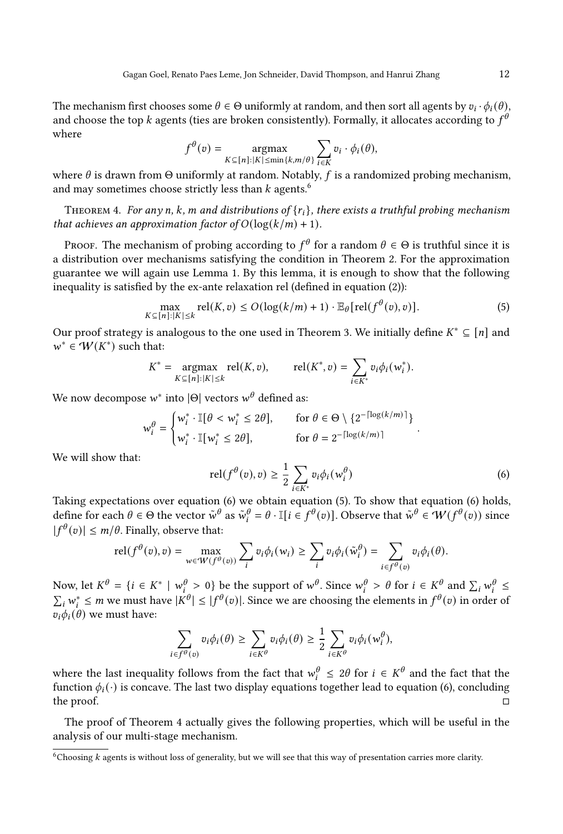The mechanism first chooses some  $\theta \in \Theta$  uniformly at random, and then sort all agents by  $v_i \cdot \phi_i(\theta)$ , and choose the top  $k$  agents (ties are broken consistently). Formally, it allocates according to  $f^\theta$ where

$$
f^{\theta}(v) = \underset{K \subseteq [n]: |K| \leq \min\{k, m/\theta\}}{\operatorname{argmax}} \sum_{i \in K} v_i \cdot \phi_i(\theta),
$$

where  $\theta$  is drawn from Θ uniformly at random. Notably, f is a randomized probing mechanism, and may sometimes choose strictly less than  $k$  agents.  $\sp$ 

<span id="page-12-3"></span>THEOREM 4. For any n, k, m and distributions of  $\{r_i\}$ , there exists a truthful probing mechanism that achieves an approximation factor of  $O(\log(k/m) + 1)$ .

Proof. The mechanism of probing according to  $f^{\theta}$  for a random  $\theta \in \Theta$  is truthful since it is a distribution over mechanisms satisfying the condition in Theorem [2.](#page-7-0) For the approximation guarantee we will again use Lemma [1.](#page-9-0) By this lemma, it is enough to show that the following inequality is satisfied by the ex-ante relaxation rel (defined in equation [\(2\)](#page-9-2)):

<span id="page-12-2"></span>
$$
\max_{K \subseteq [n]: |K| \le k} \text{rel}(K, v) \le O(\log(k/m) + 1) \cdot \mathbb{E}_{\theta}[\text{rel}(f^{\theta}(v), v)].
$$
\n(5)

Our proof strategy is analogous to the one used in Theorem [3.](#page-10-1) We initially define  $K^* \subseteq [n]$  and  $w^* \in W(K^*)$  such that:

$$
K^* = \underset{K \subseteq [n]: |K| \le k}{\operatorname{argmax}} \operatorname{rel}(K, v), \qquad \operatorname{rel}(K^*, v) = \sum_{i \in K^*} v_i \phi_i(w_i^*).
$$

We now decompose  $w^*$  into  $|\Theta|$  vectors  $w^\theta$  defined as:

$$
w_i^{\theta} = \begin{cases} w_i^* \cdot \mathbb{I}[\theta < w_i^* \le 2\theta], & \text{for } \theta \in \Theta \setminus \{2^{-\lceil \log(k/m) \rceil}\} \\ w_i^* \cdot \mathbb{I}[w_i^* \le 2\theta], & \text{for } \theta = 2^{-\lceil \log(k/m) \rceil} \end{cases}.
$$

We will show that:

<span id="page-12-1"></span>
$$
rel(f^{\theta}(v), v) \geq \frac{1}{2} \sum_{i \in K^*} v_i \phi_i(w_i^{\theta})
$$
\n(6)

Taking expectations over equation [\(6\)](#page-12-1) we obtain equation [\(5\)](#page-12-2). To show that equation [\(6\)](#page-12-1) holds, define for each  $\theta \in \Theta$  the vector  $\tilde{w}^{\theta}$  as  $\tilde{w}_i^{\theta} = \theta \cdot \mathbb{I}[i \in f^{\theta}(v)]$ . Observe that  $\tilde{w}^{\theta} \in \mathcal{W}(f^{\theta}(v))$  since  $|f^{\theta}(v)| \leq m/\theta$ . Finally, observe that:

$$
\text{rel}(f^{\theta}(v), v) = \max_{w \in \mathcal{W}(f^{\theta}(v))} \sum_{i} v_i \phi_i(w_i) \ge \sum_{i} v_i \phi_i(\tilde{w}_i^{\theta}) = \sum_{i \in f^{\theta}(v)} v_i \phi_i(\theta).
$$

Now, let  $K^{\theta} = \{i \in K^* \mid w_i^{\theta} > 0\}$  be the support of  $w^{\theta}$ . Since  $w_i^{\theta} > \theta$  for  $i \in K^{\theta}$  and  $\sum_i w_i^{\theta} \le$  $\sum_i w_i^* \leq m$  we must have  $|K^{\theta}| \leq |f^{\theta}(v)|$ . Since we are choosing the elements in  $f^{\theta}(v)$  in order of  $v_i \phi_i(\theta)$  we must have:

$$
\sum_{i \in f^{\theta}(v)} v_i \phi_i(\theta) \geq \sum_{i \in K^{\theta}} v_i \phi_i(\theta) \geq \frac{1}{2} \sum_{i \in K^{\theta}} v_i \phi_i(w_i^{\theta}),
$$

where the last inequality follows from the fact that  $w_i^{\theta} \leq 2\theta$  for  $i \in K^{\theta}$  and the fact that the function  $\phi_i(\cdot)$  is concave. The last two display equations together lead to equation [\(6\)](#page-12-1), concluding the proof.  $\Box$ 

The proof of Theorem [4](#page-12-3) actually gives the following properties, which will be useful in the analysis of our multi-stage mechanism.

<span id="page-12-0"></span> $6$ Choosing  $k$  agents is without loss of generality, but we will see that this way of presentation carries more clarity.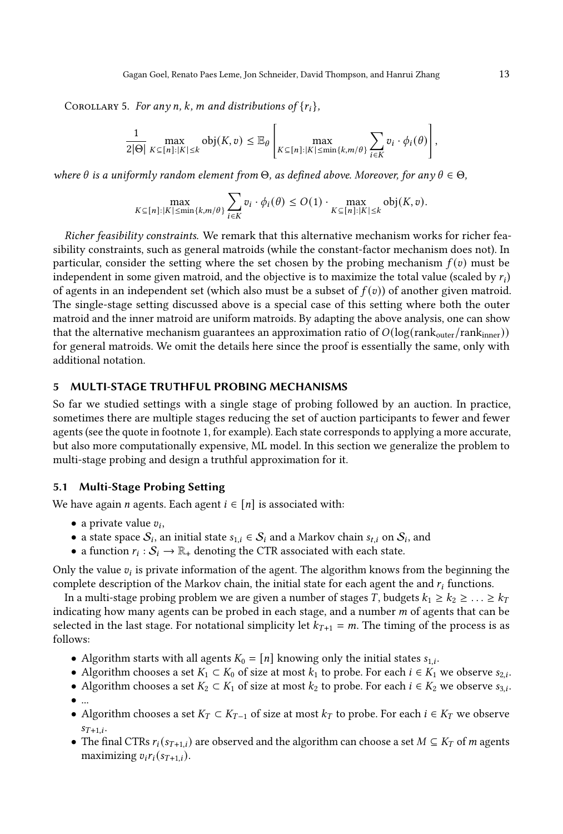<span id="page-13-0"></span>COROLLARY 5. For any n, k, m and distributions of  $\{r_i\}$ ,

$$
\frac{1}{2|\Theta|}\max_{K\subseteq[n]:|K|\leq k}\mathrm{obj}(K,v)\leq \mathbb{E}_{\theta}\left[\max_{K\subseteq[n]:|K|\leq \min\{k,m/\theta\}}\sum_{i\in K}v_{i}\cdot\phi_{i}(\theta)\right],
$$

where  $\theta$  is a uniformly random element from  $\Theta$ , as defined above. Moreover, for any  $\theta \in \Theta$ ,

$$
\max_{K \subseteq [n]:|K| \le \min\{k,m/\theta\}} \sum_{i \in K} v_i \cdot \phi_i(\theta) \le O(1) \cdot \max_{K \subseteq [n]:|K| \le k} \text{obj}(K,v).
$$

Richer feasibility constraints. We remark that this alternative mechanism works for richer feasibility constraints, such as general matroids (while the constant-factor mechanism does not). In particular, consider the setting where the set chosen by the probing mechanism  $f(v)$  must be independent in some given matroid, and the objective is to maximize the total value (scaled by  $r_i$ ) of agents in an independent set (which also must be a subset of  $f(v)$ ) of another given matroid. The single-stage setting discussed above is a special case of this setting where both the outer matroid and the inner matroid are uniform matroids. By adapting the above analysis, one can show that the alternative mechanism guarantees an approximation ratio of  $O(log(rank_{outer}/rank_{inner}))$ for general matroids. We omit the details here since the proof is essentially the same, only with additional notation.

# 5 MULTI-STAGE TRUTHFUL PROBING MECHANISMS

So far we studied settings with a single stage of probing followed by an auction. In practice, sometimes there are multiple stages reducing the set of auction participants to fewer and fewer agents (see the quote in footnote 1, for example). Each state corresponds to applying a more accurate, but also more computationally expensive, ML model. In this section we generalize the problem to multi-stage probing and design a truthful approximation for it.

## 5.1 Multi-Stage Probing Setting

We have again *n* agents. Each agent  $i \in [n]$  is associated with:

- a private value  $v_i$ ,
- a state space  $S_i$ , an initial state  $s_{1,i} \in S_i$  and a Markov chain  $s_{t,i}$  on  $S_i$ , and
- a function  $r_i : S_i \to \mathbb{R}_+$  denoting the CTR associated with each state.

Only the value  $v_i$  is private information of the agent. The algorithm knows from the beginning the complete description of the Markov chain, the initial state for each agent the and  $r_i$  functions.

In a multi-stage probing problem we are given a number of stages *T*, budgets  $k_1 \geq k_2 \geq \ldots \geq k_T$ indicating how many agents can be probed in each stage, and a number  $m$  of agents that can be selected in the last stage. For notational simplicity let  $k_{T+1} = m$ . The timing of the process is as follows:

- Algorithm starts with all agents  $K_0 = [n]$  knowing only the initial states  $s_{1,i}$ .
- Algorithm chooses a set  $K_1 \subset K_0$  of size at most  $k_1$  to probe. For each  $i \in K_1$  we observe  $s_{2,i}$ .
- Algorithm chooses a set  $K_2 \subset K_1$  of size at most  $k_2$  to probe. For each  $i \in K_2$  we observe  $s_{3,i}$ .
- ...
- Algorithm chooses a set  $K_T \subset K_{T-1}$  of size at most  $k_T$  to probe. For each  $i \in K_T$  we observe  $s_{T+1,i}$ .
- The final CTRs  $r_i(s_{T+1,i})$  are observed and the algorithm can choose a set  $M \subseteq K_T$  of m agents maximizing  $v_i r_i(s_{T+1,i}).$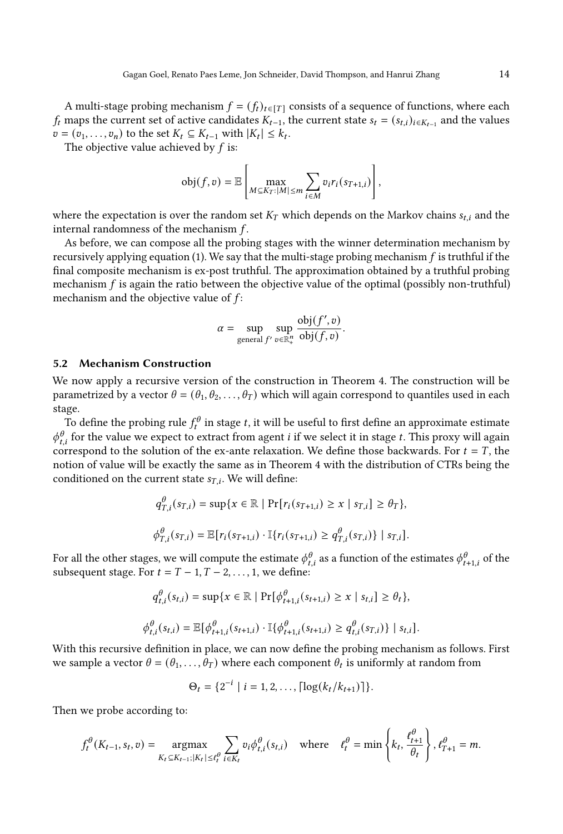A multi-stage probing mechanism  $f = (f_t)_{t \in [T]}$  consists of a sequence of functions, where each  $f_t$  maps the current set of active candidates  $K_{t-1}$ , the current state  $s_t = (s_{t,i})_{i \in K_{t-1}}$  and the values  $v = (v_1, \ldots, v_n)$  to the set  $K_t \subseteq K_{t-1}$  with  $|K_t| \leq k_t$ .

The objective value achieved by  $f$  is:

$$
\text{obj}(f, v) = \mathbb{E}\left[\max_{M \subseteq K_T : |M| \leq m} \sum_{i \in M} v_i r_i(s_{T+1,i})\right],
$$

where the expectation is over the random set  $K_T$  which depends on the Markov chains  $s_{t,i}$  and the internal randomness of the mechanism  $f$ .

As before, we can compose all the probing stages with the winner determination mechanism by recursively applying equation [\(1\)](#page-4-4). We say that the multi-stage probing mechanism  $f$  is truthful if the final composite mechanism is ex-post truthful. The approximation obtained by a truthful probing mechanism  $f$  is again the ratio between the objective value of the optimal (possibly non-truthful) mechanism and the objective value of  $f$ :

$$
\alpha = \sup_{\text{general } f' \text{ } v \in \mathbb{R}^n_+} \frac{\text{obj}(f', v)}{\text{obj}(f, v)}.
$$

#### 5.2 Mechanism Construction

We now apply a recursive version of the construction in Theorem [4.](#page-12-3) The construction will be parametrized by a vector  $\theta = (\theta_1, \theta_2, \dots, \theta_T)$  which will again correspond to quantiles used in each stage.

To define the probing rule  $f_t^\theta$  in stage  $t$ , it will be useful to first define an approximate estimate  $\phi_{t,i}^{\theta}$  for the value we expect to extract from agent *i* if we select it in stage *t*. This proxy will again correspond to the solution of the ex-ante relaxation. We define those backwards. For  $t = T$ , the notion of value will be exactly the same as in Theorem [4](#page-12-3) with the distribution of CTRs being the conditioned on the current state  $s_{T,i}$ . We will define:

$$
q_{T,i}^{\theta}(s_{T,i}) = \sup\{x \in \mathbb{R} \mid \Pr[r_i(s_{T+1,i}) \ge x \mid s_{T,i}] \ge \theta_T\},\
$$
  

$$
\phi_{T,i}^{\theta}(s_{T,i}) = \mathbb{E}[r_i(s_{T+1,i}) \cdot \mathbb{I}\{r_i(s_{T+1,i}) \ge q_{T,i}^{\theta}(s_{T,i})\} \mid s_{T,i}].
$$

For all the other stages, we will compute the estimate  $\phi_{t,i}^\theta$  as a function of the estimates  $\phi_{t+1,i}^\theta$  of the subsequent stage. For  $t = T - 1, T - 2, ..., 1$ , we define:

$$
q_{t,i}^{\theta}(s_{t,i}) = \sup\{x \in \mathbb{R} \mid \Pr[\phi_{t+1,i}^{\theta}(s_{t+1,i}) \ge x \mid s_{t,i}] \ge \theta_t\},\
$$
  

$$
\phi_{t,i}^{\theta}(s_{t,i}) = \mathbb{E}[\phi_{t+1,i}^{\theta}(s_{t+1,i}) \cdot \mathbb{I}\{\phi_{t+1,i}^{\theta}(s_{t+1,i}) \ge q_{t,i}^{\theta}(s_{T,i})\} \mid s_{t,i}].
$$

With this recursive definition in place, we can now define the probing mechanism as follows. First we sample a vector  $\theta = (\theta_1, \ldots, \theta_T)$  where each component  $\theta_t$  is uniformly at random from

$$
\Theta_t = \{2^{-i} \mid i = 1, 2, \ldots, \lceil \log(k_t / k_{t+1}) \rceil \}.
$$

Then we probe according to:

$$
f_t^{\theta}(K_{t-1}, s_t, v) = \underset{K_t \subseteq K_{t-1}; |K_t| \leq \ell_t^{\theta}}{\operatorname{argmax}} \sum_{i \in K_t} v_i \phi_{t,i}^{\theta}(s_{t,i}) \quad \text{where} \quad \ell_t^{\theta} = \min \left\{ k_t, \frac{\ell_{t+1}^{\theta}}{\theta_t} \right\}, \ell_{T+1}^{\theta} = m.
$$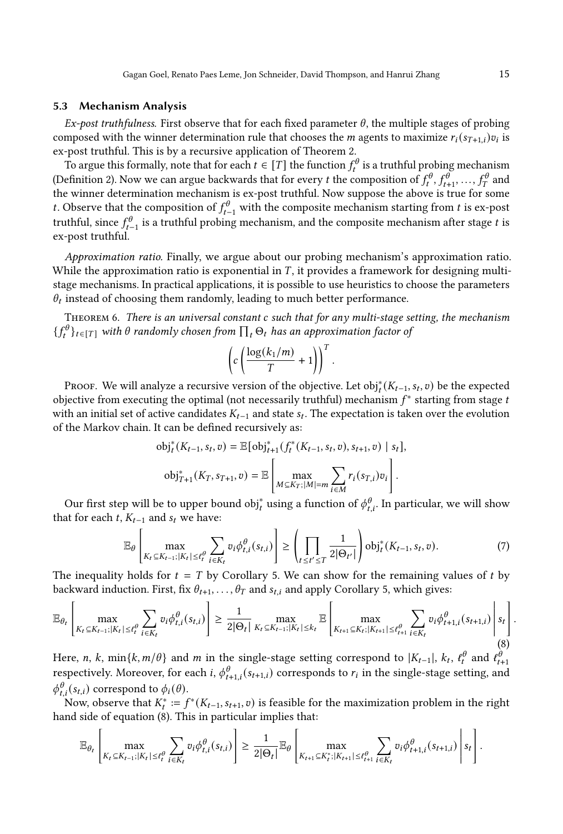# 5.3 Mechanism Analysis

Ex-post truthfulness. First observe that for each fixed parameter  $\theta$ , the multiple stages of probing composed with the winner determination rule that chooses the *m* agents to maximize  $r_i(s_{T+1,i})v_i$  is ex-post truthful. This is by a recursive application of Theorem [2.](#page-7-0)

To argue this formally, note that for each  $t \in [T]$  the function  $f_t^{\theta}$  is a truthful probing mechanism (Definition [2\)](#page-7-1). Now we can argue backwards that for every t the composition of  $f_t^{\theta}, f_{t+1}^{\theta}, ..., f_T^{\theta}$  and the winner determination mechanism is ex-post truthful. Now suppose the above is true for some t. Observe that the composition of  $f_{t-1}^{\theta}$  with the composite mechanism starting from t is ex-post truthful, since  $f_{t-1}^{\theta}$  is a truthful probing mechanism, and the composite mechanism after stage t is ex-post truthful.

Approximation ratio. Finally, we argue about our probing mechanism's approximation ratio. While the approximation ratio is exponential in  $T$ , it provides a framework for designing multistage mechanisms. In practical applications, it is possible to use heuristics to choose the parameters  $\theta_t$  instead of choosing them randomly, leading to much better performance.

THEOREM 6. There is an universal constant c such that for any multi-stage setting, the mechanism  $\{f_t^{\theta}\}_{t\in[T]}$  with  $\theta$  randomly chosen from  $\prod_t \Theta_t$  has an approximation factor of

$$
\left(c\left(\frac{\log(k_1/m)}{T}+1\right)\right)^T.
$$

Proof. We will analyze a recursive version of the objective. Let  $\mathrm{obj}_t^*(K_{t-1}, s_t, v)$  be the expected objective from executing the optimal (not necessarily truthful) mechanism  $f^*$  starting from stage to with an initial set of active candidates  $K_{t-1}$  and state  $s_t$ . The expectation is taken over the evolution of the Markov chain. It can be defined recursively as:

$$
\text{obj}_{t}^{*}(K_{t-1}, s_{t}, v) = \mathbb{E}[\text{obj}_{t+1}^{*}(f_{t}^{*}(K_{t-1}, s_{t}, v), s_{t+1}, v) | s_{t}],
$$

$$
\text{obj}_{T+1}^{*}(K_{T}, s_{T+1}, v) = \mathbb{E}\left[\max_{M \subseteq K_{T}; |M| = m} \sum_{i \in M} r_{i}(s_{T,i})v_{i}\right].
$$

Our first step will be to upper bound obj $_t^*$  using a function of  $\phi_{t,i}^{\theta}$ . In particular, we will show that for each  $t$ ,  $K_{t-1}$  and  $s_t$  we have:

<span id="page-15-1"></span>
$$
\mathbb{E}_{\theta}\left[\max_{K_t \subseteq K_{t-1}; |K_t| \leq t_t^{\theta}} \sum_{i \in K_t} v_i \phi_{t,i}^{\theta}(s_{t,i})\right] \geq \left(\prod_{t \leq t' \leq T} \frac{1}{2|\Theta_{t'}|}\right) \text{obj}_t^*(K_{t-1}, s_t, v). \tag{7}
$$

The inequality holds for  $t = T$  by Corollary [5.](#page-13-0) We can show for the remaining values of t by backward induction. First, fix  $\theta_{t+1}, \ldots, \theta_T$  and  $s_{t,i}$  and apply Corollary [5,](#page-13-0) which gives:

<span id="page-15-0"></span>
$$
\mathbb{E}_{\theta_t} \left[ \max_{K_t \subseteq K_{t-1}; |K_t| \leq \ell_t^{\theta}} \sum_{i \in K_t} v_i \phi_{t,i}^{\theta}(s_{t,i}) \right] \geq \frac{1}{2|\Theta_t|} \max_{K_t \subseteq K_{t-1}; |K_t| \leq k_t} \mathbb{E} \left[ \max_{K_{t+1} \subseteq K_t; |K_{t+1}| \leq \ell_{t+1}^{\theta}} \sum_{i \in K_t} v_i \phi_{t+1,i}^{\theta}(s_{t+1,i}) \right] s_t \right].
$$
\n(8)

Here, n, k, min{k, m/ $\theta$ } and m in the single-stage setting correspond to  $|K_{t-1}|$ ,  $k_t$ ,  $\ell_t^{\theta}$  and  $\ell_{t+1}^{\theta'}$ respectively. Moreover, for each i,  $\phi_{t+1,i}^{\theta}(s_{t+1,i})$  corresponds to  $r_i$  in the single-stage setting, and  $\phi_{t,i}^{\theta}(s_{t,i})$  correspond to  $\phi_i(\theta)$ .

Now, observe that  $K_t^* := f^*(K_{t-1}, s_{t+1}, v)$  is feasible for the maximization problem in the right hand side of equation [\(8\)](#page-15-0). This in particular implies that:

$$
\mathbb{E}_{\theta_t}\left[\max_{K_t\subseteq K_{t-1}; |K_t|\leq \ell_t^\theta}\sum_{i\in K_t}v_i\phi_{t,i}^\theta(s_{t,i})\right]\geq \frac{1}{2|\Theta_t|}\mathbb{E}_{\theta}\left[\max_{K_{t+1}\subseteq K_t^*, |K_{t+1}|\leq \ell_{t+1}^\theta}\sum_{i\in K_t}v_i\phi_{t+1,i}^\theta(s_{t+1,i})\middle|s_t\right].
$$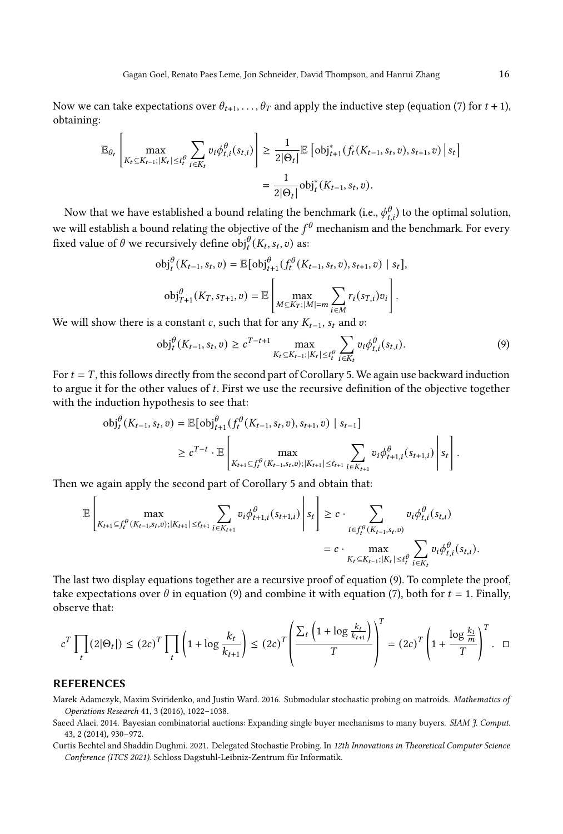Now we can take expectations over  $\theta_{t+1}, \ldots, \theta_T$  and apply the inductive step (equation [\(7\)](#page-15-1) for  $t + 1$ ), obtaining:

$$
\mathbb{E}_{\theta_t} \left[ \max_{K_t \subseteq K_{t-1}; |K_t| \leq \ell_t^{\theta}} \sum_{i \in K_t} v_i \phi_{t,i}^{\theta}(s_{t,i}) \right] \geq \frac{1}{2|\Theta_t|} \mathbb{E} \left[ \text{obj}_{t+1}^*(f_t(K_{t-1}, s_t, v), s_{t+1}, v) \, \middle| \, s_t \right]
$$
\n
$$
= \frac{1}{2|\Theta_t|} \text{obj}_t^*(K_{t-1}, s_t, v).
$$

Now that we have established a bound relating the benchmark (i.e.,  $\phi^\theta_{t,i}$ ) to the optimal solution, we will establish a bound relating the objective of the  $f^{\theta}$  mechanism and the benchmark. For every fixed value of  $\theta$  we recursively define  $obj_t^{\theta}(K_t, s_t, v)$  as:

$$
\text{obj}_{t}^{\theta}(K_{t-1}, s_{t}, v) = \mathbb{E}[\text{obj}_{t+1}^{\theta}(f_{t}^{\theta}(K_{t-1}, s_{t}, v), s_{t+1}, v) \mid s_{t}],
$$

$$
\text{obj}_{T+1}^{\theta}(K_{T}, s_{T+1}, v) = \mathbb{E}\left[\max_{M \subseteq K_{T}; |M| = m} \sum_{i \in M} r_{i}(s_{T,i})v_{i}\right].
$$

We will show there is a constant  $c$ , such that for any  $K_{t-1}$ ,  $s_t$  and  $v$ :

<span id="page-16-3"></span>
$$
\text{obj}_{t}^{\theta}(K_{t-1}, s_{t}, v) \ge c^{T-t+1} \max_{K_{t} \subseteq K_{t-1}; |K_{t}| \le \ell_{t}^{\theta}} \sum_{i \in K_{t}} v_{i} \phi_{t,i}^{\theta}(s_{t,i}). \tag{9}
$$

 $\overline{r}$ 

For  $t = T$ , this follows directly from the second part of Corollary [5.](#page-13-0) We again use backward induction to argue it for the other values of t. First we use the recursive definition of the objective together with the induction hypothesis to see that:

$$
\text{obj}_t^{\theta}(K_{t-1}, s_t, v) = \mathbb{E}[\text{obj}_{t+1}^{\theta}(f_t^{\theta}(K_{t-1}, s_t, v), s_{t+1}, v) \mid s_{t-1}]
$$
\n
$$
\geq c^{T-t} \cdot \mathbb{E}\left[\max_{K_{t+1} \subseteq f_t^{\theta}(K_{t-1}, s_t, v); |K_{t+1}| \leq \ell_{t+1}} \sum_{i \in K_{t+1}} v_i \phi_{t+1,i}^{\theta}(s_{t+1,i}) \middle| s_t \right].
$$

Then we again apply the second part of Corollary [5](#page-13-0) and obtain that:

$$
\mathbb{E}\left[\max_{K_{t+1}\subseteq f_t^{\theta}(K_{t-1},s_t,v);|K_{t+1}|\leq \ell_{t+1}}\sum_{i\in K_{t+1}}v_i\phi_{t+1,i}^{\theta}(s_{t+1,i})\middle|s_t\right]\geq c\cdot\sum_{i\in f_t^{\theta}(K_{t-1},s_t,v)}v_i\phi_{t,i}^{\theta}(s_{t,i})
$$

$$
= c\cdot\max_{K_t\subseteq K_{t-1};|K_t|\leq \ell_t^{\theta}}\sum_{i\in K_t}v_i\phi_{t,i}^{\theta}(s_{t,i}).
$$

The last two display equations together are a recursive proof of equation [\(9\)](#page-16-3). To complete the proof, take expectations over  $\theta$  in equation [\(9\)](#page-16-3) and combine it with equation [\(7\)](#page-15-1), both for  $t = 1$ . Finally, observe that:

$$
c^T \prod_t (2|\Theta_t|) \le (2c)^T \prod_t \left(1 + \log \frac{k_t}{k_{t+1}}\right) \le (2c)^T \left(\frac{\sum_t \left(1 + \log \frac{k_t}{k_{t+1}}\right)}{T}\right)^t = (2c)^T \left(1 + \frac{\log \frac{k_1}{m}}{T}\right)^T. \quad \Box
$$

## **REFERENCES**

<span id="page-16-1"></span>Marek Adamczyk, Maxim Sviridenko, and Justin Ward. 2016. Submodular stochastic probing on matroids. Mathematics of Operations Research 41, 3 (2016), 1022–1038.

- <span id="page-16-0"></span>Saeed Alaei. 2014. Bayesian combinatorial auctions: Expanding single buyer mechanisms to many buyers. SIAM 7. Comput. 43, 2 (2014), 930–972.
- <span id="page-16-2"></span>Curtis Bechtel and Shaddin Dughmi. 2021. Delegated Stochastic Probing. In 12th Innovations in Theoretical Computer Science Conference (ITCS 2021). Schloss Dagstuhl-Leibniz-Zentrum für Informatik.